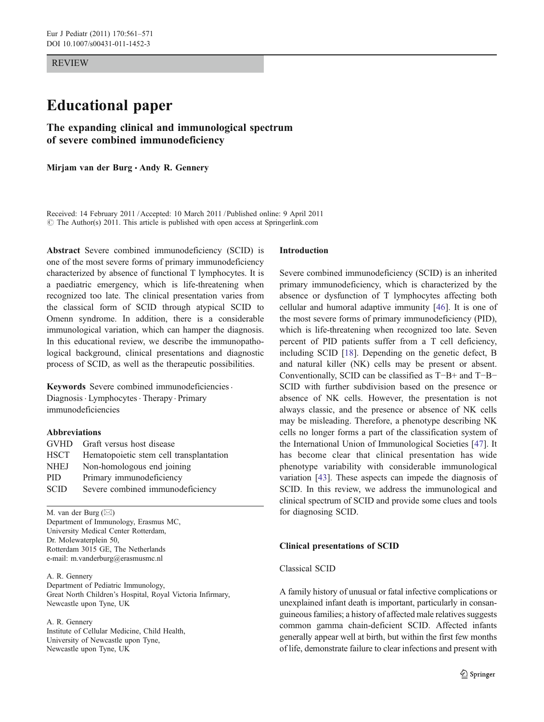REVIEW

# Educational paper

The expanding clinical and immunological spectrum of severe combined immunodeficiency

Mirjam van der Burg · Andy R. Gennery

Received: 14 February 2011 /Accepted: 10 March 2011 / Published online: 9 April 2011 © The Author(s) 2011. This article is published with open access at Springerlink.com

Abstract Severe combined immunodeficiency (SCID) is one of the most severe forms of primary immunodeficiency characterized by absence of functional T lymphocytes. It is a paediatric emergency, which is life-threatening when recognized too late. The clinical presentation varies from the classical form of SCID through atypical SCID to Omenn syndrome. In addition, there is a considerable immunological variation, which can hamper the diagnosis. In this educational review, we describe the immunopathological background, clinical presentations and diagnostic process of SCID, as well as the therapeutic possibilities.

Keywords Severe combined immunodeficiencies. Diagnosis. Lymphocytes. Therapy . Primary immunodeficiencies

# Abbreviations

|             | GVHD Graft versus host disease          |
|-------------|-----------------------------------------|
| <b>HSCT</b> | Hematopoietic stem cell transplantation |
| NHEJ        | Non-homologous end joining              |
| <b>PID</b>  | Primary immunodeficiency                |
| <b>SCID</b> | Severe combined immunodeficiency        |

M. van der Burg  $(\boxtimes)$ 

Department of Immunology, Erasmus MC, University Medical Center Rotterdam, Dr. Molewaterplein 50, Rotterdam 3015 GE, The Netherlands e-mail: m.vanderburg@erasmusmc.nl

## A. R. Gennery

Department of Pediatric Immunology, Great North Children's Hospital, Royal Victoria Infirmary, Newcastle upon Tyne, UK

# A. R. Gennery

Institute of Cellular Medicine, Child Health, University of Newcastle upon Tyne, Newcastle upon Tyne, UK

## Introduction

Severe combined immunodeficiency (SCID) is an inherited primary immunodeficiency, which is characterized by the absence or dysfunction of T lymphocytes affecting both cellular and humoral adaptive immunity [[46\]](#page-9-0). It is one of the most severe forms of primary immunodeficiency (PID), which is life-threatening when recognized too late. Seven percent of PID patients suffer from a T cell deficiency, including SCID [\[18](#page-8-0)]. Depending on the genetic defect, B and natural killer (NK) cells may be present or absent. Conventionally, SCID can be classified as T−B+ and T−B− SCID with further subdivision based on the presence or absence of NK cells. However, the presentation is not always classic, and the presence or absence of NK cells may be misleading. Therefore, a phenotype describing NK cells no longer forms a part of the classification system of the International Union of Immunological Societies [\[47\]](#page-9-0). It has become clear that clinical presentation has wide phenotype variability with considerable immunological variation [\[43](#page-9-0)]. These aspects can impede the diagnosis of SCID. In this review, we address the immunological and clinical spectrum of SCID and provide some clues and tools for diagnosing SCID.

#### Clinical presentations of SCID

## Classical SCID

A family history of unusual or fatal infective complications or unexplained infant death is important, particularly in consanguineous families; a history of affected male relatives suggests common gamma chain-deficient SCID. Affected infants generally appear well at birth, but within the first few months of life, demonstrate failure to clear infections and present with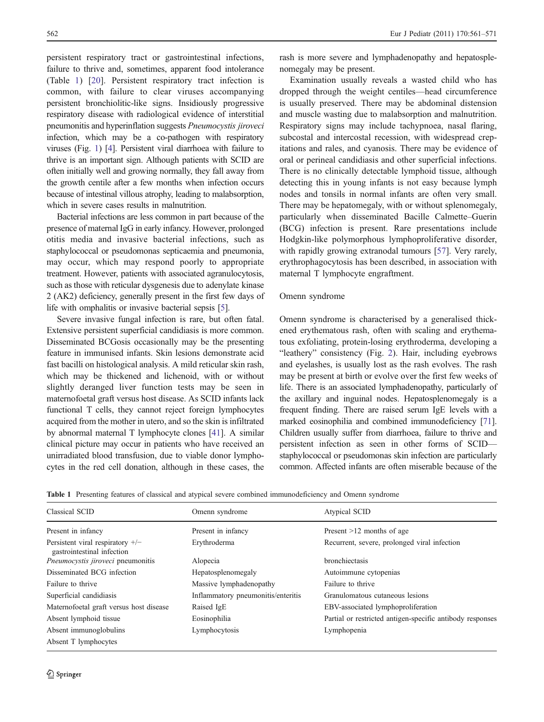persistent respiratory tract or gastrointestinal infections, failure to thrive and, sometimes, apparent food intolerance (Table 1) [\[20](#page-8-0)]. Persistent respiratory tract infection is common, with failure to clear viruses accompanying persistent bronchiolitic-like signs. Insidiously progressive respiratory disease with radiological evidence of interstitial pneumonitis and hyperinflation suggests Pneumocystis jiroveci infection, which may be a co-pathogen with respiratory viruses (Fig. [1](#page-2-0)) [\[4\]](#page-7-0). Persistent viral diarrhoea with failure to thrive is an important sign. Although patients with SCID are often initially well and growing normally, they fall away from the growth centile after a few months when infection occurs because of intestinal villous atrophy, leading to malabsorption, which in severe cases results in malnutrition.

Bacterial infections are less common in part because of the presence of maternal IgG in early infancy. However, prolonged otitis media and invasive bacterial infections, such as staphylococcal or pseudomonas septicaemia and pneumonia, may occur, which may respond poorly to appropriate treatment. However, patients with associated agranulocytosis, such as those with reticular dysgenesis due to adenylate kinase 2 (AK2) deficiency, generally present in the first few days of life with omphalitis or invasive bacterial sepsis [[5](#page-7-0)].

Severe invasive fungal infection is rare, but often fatal. Extensive persistent superficial candidiasis is more common. Disseminated BCGosis occasionally may be the presenting feature in immunised infants. Skin lesions demonstrate acid fast bacilli on histological analysis. A mild reticular skin rash, which may be thickened and lichenoid, with or without slightly deranged liver function tests may be seen in maternofoetal graft versus host disease. As SCID infants lack functional T cells, they cannot reject foreign lymphocytes acquired from the mother in utero, and so the skin is infiltrated by abnormal maternal T lymphocyte clones [[41\]](#page-9-0). A similar clinical picture may occur in patients who have received an unirradiated blood transfusion, due to viable donor lymphocytes in the red cell donation, although in these cases, the

rash is more severe and lymphadenopathy and hepatosplenomegaly may be present.

Examination usually reveals a wasted child who has dropped through the weight centiles—head circumference is usually preserved. There may be abdominal distension and muscle wasting due to malabsorption and malnutrition. Respiratory signs may include tachypnoea, nasal flaring, subcostal and intercostal recession, with widespread crepitations and rales, and cyanosis. There may be evidence of oral or perineal candidiasis and other superficial infections. There is no clinically detectable lymphoid tissue, although detecting this in young infants is not easy because lymph nodes and tonsils in normal infants are often very small. There may be hepatomegaly, with or without splenomegaly, particularly when disseminated Bacille Calmette–Guerin (BCG) infection is present. Rare presentations include Hodgkin-like polymorphous lymphoproliferative disorder, with rapidly growing extranodal tumours [[57\]](#page-9-0). Very rarely, erythrophagocytosis has been described, in association with maternal T lymphocyte engraftment.

#### Omenn syndrome

Omenn syndrome is characterised by a generalised thickened erythematous rash, often with scaling and erythematous exfoliating, protein-losing erythroderma, developing a "leathery" consistency (Fig. [2](#page-2-0)). Hair, including eyebrows and eyelashes, is usually lost as the rash evolves. The rash may be present at birth or evolve over the first few weeks of life. There is an associated lymphadenopathy, particularly of the axillary and inguinal nodes. Hepatosplenomegaly is a frequent finding. There are raised serum IgE levels with a marked eosinophilia and combined immunodeficiency [\[71\]](#page-10-0). Children usually suffer from diarrhoea, failure to thrive and persistent infection as seen in other forms of SCID staphylococcal or pseudomonas skin infection are particularly common. Affected infants are often miserable because of the

|  |  |  |  | <b>Table 1</b> Presenting features of classical and atypical severe combined immunodeficiency and Omenn syndrome |  |  |
|--|--|--|--|------------------------------------------------------------------------------------------------------------------|--|--|
|--|--|--|--|------------------------------------------------------------------------------------------------------------------|--|--|

| <b>Classical SCID</b>                                            | Omenn syndrome                     | Atypical SCID                                             |
|------------------------------------------------------------------|------------------------------------|-----------------------------------------------------------|
| Present in infancy                                               | Present in infancy                 | Present $>12$ months of age                               |
| Persistent viral respiratory $+/-$<br>gastrointestinal infection | Erythroderma                       | Recurrent, severe, prolonged viral infection              |
| Pneumocystis jiroveci pneumonitis                                | Alopecia                           | bronchiectasis                                            |
| Disseminated BCG infection                                       | Hepatosplenomegaly                 | Autoimmune cytopenias                                     |
| Failure to thrive                                                | Massive lymphadenopathy            | Failure to thrive                                         |
| Superficial candidiasis                                          | Inflammatory pneumonitis/enteritis | Granulomatous cutaneous lesions                           |
| Maternofoetal graft versus host disease                          | Raised IgE                         | EBV-associated lymphoproliferation                        |
| Absent lymphoid tissue                                           | Eosinophilia                       | Partial or restricted antigen-specific antibody responses |
| Absent immunoglobulins                                           | Lymphocytosis                      | Lymphopenia                                               |
| Absent T lymphocytes                                             |                                    |                                                           |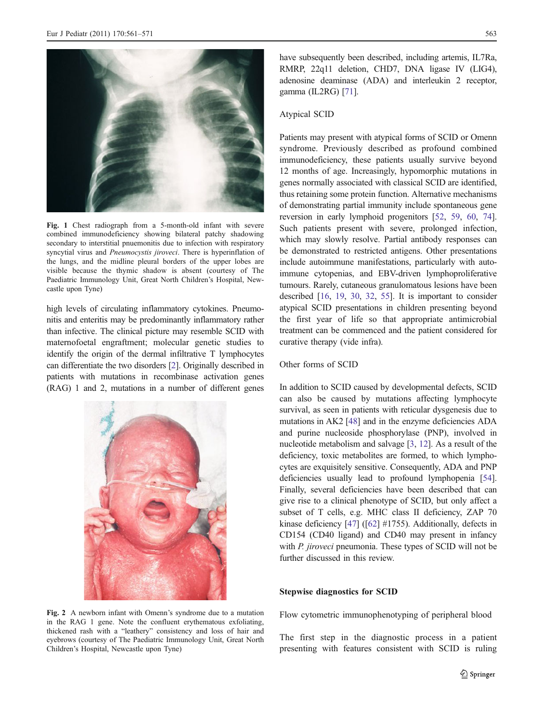

Patients may present with atypical forms of SCID or Omenn syndrome. Previously described as profound combined immunodeficiency, these patients usually survive beyond 12 months of age. Increasingly, hypomorphic mutations in genes normally associated with classical SCID are identified, thus retaining some protein function. Alternative mechanisms of demonstrating partial immunity include spontaneous gene reversion in early lymphoid progenitors [\[52](#page-9-0), [59,](#page-9-0) [60](#page-9-0), [74\]](#page-10-0). Such patients present with severe, prolonged infection, which may slowly resolve. Partial antibody responses can be demonstrated to restricted antigens. Other presentations include autoimmune manifestations, particularly with autoimmune cytopenias, and EBV-driven lymphoproliferative tumours. Rarely, cutaneous granulomatous lesions have been described [[16,](#page-8-0) [19](#page-8-0), [30,](#page-8-0) [32](#page-8-0), [55\]](#page-9-0). It is important to consider atypical SCID presentations in children presenting beyond the first year of life so that appropriate antimicrobial treatment can be commenced and the patient considered for curative therapy (vide infra).

have subsequently been described, including artemis, IL7Ra, RMRP, 22q11 deletion, CHD7, DNA ligase IV (LIG4),

### Other forms of SCID

In addition to SCID caused by developmental defects, SCID can also be caused by mutations affecting lymphocyte survival, as seen in patients with reticular dysgenesis due to mutations in AK2 [[48](#page-9-0)] and in the enzyme deficiencies ADA and purine nucleoside phosphorylase (PNP), involved in nucleotide metabolism and salvage [[3,](#page-7-0) [12\]](#page-8-0). As a result of the deficiency, toxic metabolites are formed, to which lymphocytes are exquisitely sensitive. Consequently, ADA and PNP deficiencies usually lead to profound lymphopenia [[54\]](#page-9-0). Finally, several deficiencies have been described that can give rise to a clinical phenotype of SCID, but only affect a subset of T cells, e.g. MHC class II deficiency, ZAP 70 kinase deficiency [[47](#page-9-0)] ([\[62\]](#page-9-0) #1755). Additionally, defects in CD154 (CD40 ligand) and CD40 may present in infancy with P. jiroveci pneumonia. These types of SCID will not be further discussed in this review.

#### Stepwise diagnostics for SCID

Flow cytometric immunophenotyping of peripheral blood

The first step in the diagnostic process in a patient presenting with features consistent with SCID is ruling

<span id="page-2-0"></span>

Fig. 1 Chest radiograph from a 5-month-old infant with severe combined immunodeficiency showing bilateral patchy shadowing secondary to interstitial pnuemonitis due to infection with respiratory syncytial virus and Pneumocystis jiroveci. There is hyperinflation of the lungs, and the midline pleural borders of the upper lobes are visible because the thymic shadow is absent (courtesy of The Paediatric Immunology Unit, Great North Children's Hospital, Newcastle upon Tyne)

high levels of circulating inflammatory cytokines. Pneumonitis and enteritis may be predominantly inflammatory rather than infective. The clinical picture may resemble SCID with maternofoetal engraftment; molecular genetic studies to identify the origin of the dermal infiltrative T lymphocytes can differentiate the two disorders [[2](#page-7-0)]. Originally described in patients with mutations in recombinase activation genes (RAG) 1 and 2, mutations in a number of different genes



Fig. 2 A newborn infant with Omenn's syndrome due to a mutation in the RAG 1 gene. Note the confluent erythematous exfoliating, thickened rash with a "leathery" consistency and loss of hair and eyebrows (courtesy of The Paediatric Immunology Unit, Great North Children's Hospital, Newcastle upon Tyne)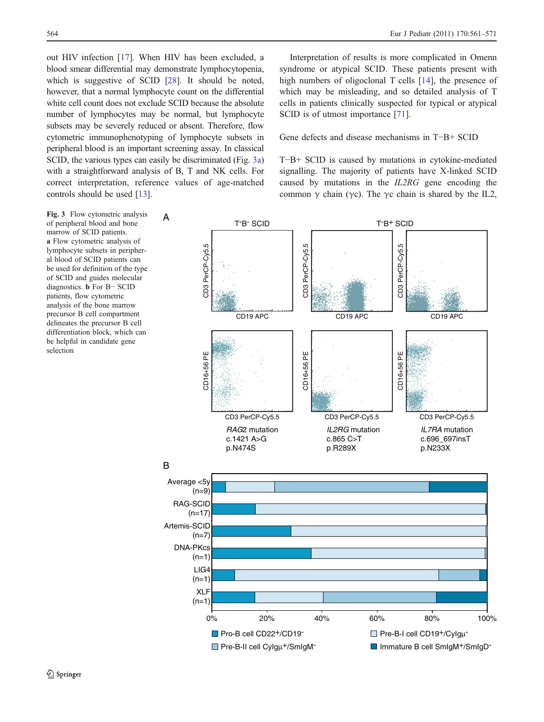<span id="page-3-0"></span>out HIV infection [[17\]](#page-8-0). When HIV has been excluded, a blood smear differential may demonstrate lymphocytopenia, which is suggestive of SCID [[28\]](#page-8-0). It should be noted, however, that a normal lymphocyte count on the differential white cell count does not exclude SCID because the absolute number of lymphocytes may be normal, but lymphocyte subsets may be severely reduced or absent. Therefore, flow cytometric immunophenotyping of lymphocyte subsets in peripheral blood is an important screening assay. In classical SCID, the various types can easily be discriminated (Fig. 3a) with a straightforward analysis of B, T and NK cells. For correct interpretation, reference values of age-matched controls should be used [\[13](#page-8-0)].

Interpretation of results is more complicated in Omenn syndrome or atypical SCID. These patients present with high numbers of oligoclonal T cells [[14\]](#page-8-0), the presence of which may be misleading, and so detailed analysis of T cells in patients clinically suspected for typical or atypical SCID is of utmost importance [\[71](#page-10-0)].

Gene defects and disease mechanisms in T−B+ SCID

T−B+ SCID is caused by mutations in cytokine-mediated signalling. The majority of patients have X-linked SCID caused by mutations in the IL2RG gene encoding the common γ chain (γc). The γc chain is shared by the IL2,



T-B- SCID T-B+ SCID

Fig. 3 Flow cytometric analysis A of peripheral blood and bone marrow of SCID patients. a Flow cytometric analysis of lymphocyte subsets in peripheral blood of SCID patients can be used for definition of the type of SCID and guides molecular diagnostics. b For B− SCID patients, flow cytometric analysis of the bone marrow precursor B cell compartment delineates the precursor B cell differentiation block, which can be helpful in candidate gene selection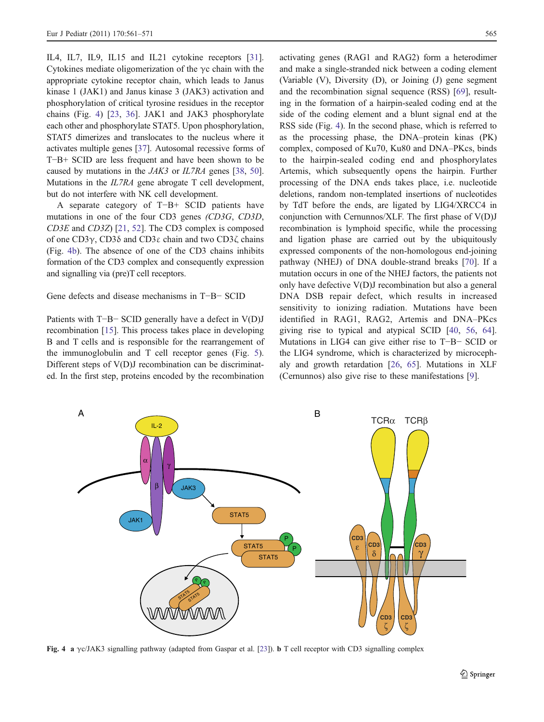IL4, IL7, IL9, IL15 and IL21 cytokine receptors [\[31](#page-8-0)]. Cytokines mediate oligomerization of the  $\gamma c$  chain with the appropriate cytokine receptor chain, which leads to Janus kinase 1 (JAK1) and Janus kinase 3 (JAK3) activation and phosphorylation of critical tyrosine residues in the receptor chains (Fig. 4) [[23,](#page-8-0) [36\]](#page-9-0). JAK1 and JAK3 phosphorylate each other and phosphorylate STAT5. Upon phosphorylation, STAT5 dimerizes and translocates to the nucleus where it activates multiple genes [\[37\]](#page-9-0). Autosomal recessive forms of T−B+ SCID are less frequent and have been shown to be caused by mutations in the JAK3 or IL7RA genes [[38,](#page-9-0) [50\]](#page-9-0). Mutations in the *IL7RA* gene abrogate T cell development, but do not interfere with NK cell development.

A separate category of T−B+ SCID patients have mutations in one of the four CD3 genes (CD3G, CD3D, CD3E and CD3Z) [\[21](#page-8-0), [52](#page-9-0)]. The CD3 complex is composed of one CD3γ, CD3δ and CD3ε chain and two CD3ζ chains (Fig. 4b). The absence of one of the CD3 chains inhibits formation of the CD3 complex and consequently expression and signalling via (pre)T cell receptors.

Gene defects and disease mechanisms in T−B− SCID

Patients with T−B− SCID generally have a defect in V(D)J recombination [\[15](#page-8-0)]. This process takes place in developing B and T cells and is responsible for the rearrangement of the immunoglobulin and T cell receptor genes (Fig. [5](#page-5-0)). Different steps of V(D)J recombination can be discriminated. In the first step, proteins encoded by the recombination activating genes (RAG1 and RAG2) form a heterodimer and make a single-stranded nick between a coding element (Variable (V), Diversity (D), or Joining (J) gene segment and the recombination signal sequence (RSS) [[69\]](#page-10-0), resulting in the formation of a hairpin-sealed coding end at the side of the coding element and a blunt signal end at the RSS side (Fig. 4). In the second phase, which is referred to as the processing phase, the DNA–protein kinas (PK) complex, composed of Ku70, Ku80 and DNA–PKcs, binds to the hairpin-sealed coding end and phosphorylates Artemis, which subsequently opens the hairpin. Further processing of the DNA ends takes place, i.e. nucleotide deletions, random non-templated insertions of nucleotides by TdT before the ends, are ligated by LIG4/XRCC4 in conjunction with Cernunnos/XLF. The first phase of V(D)J recombination is lymphoid specific, while the processing and ligation phase are carried out by the ubiquitously expressed components of the non-homologous end-joining pathway (NHEJ) of DNA double-strand breaks [\[70](#page-10-0)]. If a mutation occurs in one of the NHEJ factors, the patients not only have defective V(D)J recombination but also a general DNA DSB repair defect, which results in increased sensitivity to ionizing radiation. Mutations have been identified in RAG1, RAG2, Artemis and DNA–PKcs giving rise to typical and atypical SCID [\[40](#page-9-0), [56](#page-9-0), [64\]](#page-9-0). Mutations in LIG4 can give either rise to T−B− SCID or the LIG4 syndrome, which is characterized by microcephaly and growth retardation [\[26](#page-8-0), [65\]](#page-10-0). Mutations in XLF (Cernunnos) also give rise to these manifestations [\[9](#page-8-0)].



Fig. 4 a γc/JAK3 signalling pathway (adapted from Gaspar et al. [[23](#page-8-0)]). b T cell receptor with CD3 signalling complex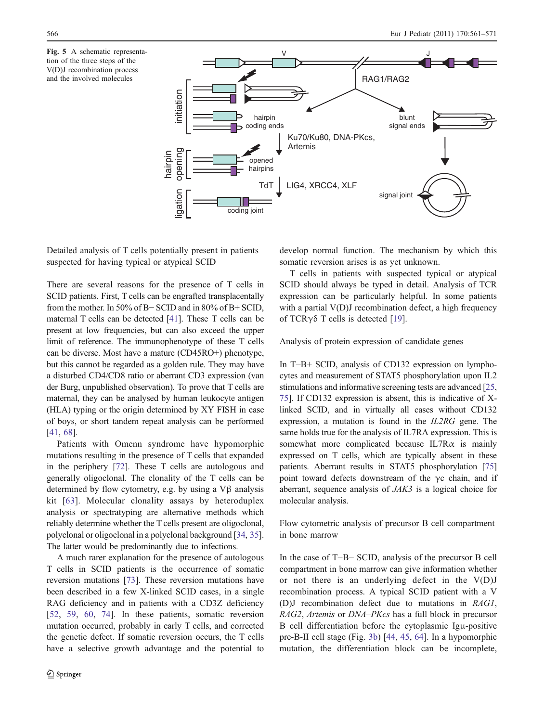<span id="page-5-0"></span>Fig. 5 A schematic representation of the three steps of the V(D)J recombination process and the involved molecules



Detailed analysis of T cells potentially present in patients suspected for having typical or atypical SCID

There are several reasons for the presence of T cells in SCID patients. First, T cells can be engrafted transplacentally from the mother. In 50% of B− SCID and in 80% of B+ SCID, maternal T cells can be detected [\[41](#page-9-0)]. These T cells can be present at low frequencies, but can also exceed the upper limit of reference. The immunophenotype of these T cells can be diverse. Most have a mature (CD45RO+) phenotype, but this cannot be regarded as a golden rule. They may have a disturbed CD4/CD8 ratio or aberrant CD3 expression (van der Burg, unpublished observation). To prove that T cells are maternal, they can be analysed by human leukocyte antigen (HLA) typing or the origin determined by XY FISH in case of boys, or short tandem repeat analysis can be performed [\[41,](#page-9-0) [68](#page-10-0)].

Patients with Omenn syndrome have hypomorphic mutations resulting in the presence of T cells that expanded in the periphery [[72\]](#page-10-0). These T cells are autologous and generally oligoclonal. The clonality of the T cells can be determined by flow cytometry, e.g. by using a Vβ analysis kit [[63](#page-9-0)]. Molecular clonality assays by heteroduplex analysis or spectratyping are alternative methods which reliably determine whether the T cells present are oligoclonal, polyclonal or oligoclonal in a polyclonal background [\[34,](#page-8-0) [35\]](#page-9-0). The latter would be predominantly due to infections.

A much rarer explanation for the presence of autologous T cells in SCID patients is the occurrence of somatic reversion mutations [\[73](#page-10-0)]. These reversion mutations have been described in a few X-linked SCID cases, in a single RAG deficiency and in patients with a CD3Z deficiency [\[52](#page-9-0), [59](#page-9-0), [60](#page-9-0), [74](#page-10-0)]. In these patients, somatic reversion mutation occurred, probably in early T cells, and corrected the genetic defect. If somatic reversion occurs, the T cells have a selective growth advantage and the potential to develop normal function. The mechanism by which this somatic reversion arises is as yet unknown.

T cells in patients with suspected typical or atypical SCID should always be typed in detail. Analysis of TCR expression can be particularly helpful. In some patients with a partial V(D)J recombination defect, a high frequency of TCRγδ T cells is detected [\[19](#page-8-0)].

Analysis of protein expression of candidate genes

In T−B+ SCID, analysis of CD132 expression on lymphocytes and measurement of STAT5 phosphorylation upon IL2 stimulations and informative screening tests are advanced [\[25,](#page-8-0) [75\]](#page-10-0). If CD132 expression is absent, this is indicative of Xlinked SCID, and in virtually all cases without CD132 expression, a mutation is found in the IL2RG gene. The same holds true for the analysis of IL7RA expression. This is somewhat more complicated because IL7R $\alpha$  is mainly expressed on T cells, which are typically absent in these patients. Aberrant results in STAT5 phosphorylation [\[75](#page-10-0)] point toward defects downstream of the  $\gamma c$  chain, and if aberrant, sequence analysis of JAK3 is a logical choice for molecular analysis.

Flow cytometric analysis of precursor B cell compartment in bone marrow

In the case of T−B− SCID, analysis of the precursor B cell compartment in bone marrow can give information whether or not there is an underlying defect in the V(D)J recombination process. A typical SCID patient with a V (D)J recombination defect due to mutations in RAG1, RAG2, Artemis or DNA–PKcs has a full block in precursor B cell differentiation before the cytoplasmic Igu-positive pre-B-II cell stage (Fig. [3b\)](#page-3-0) [\[44](#page-9-0), [45,](#page-9-0) [64](#page-9-0)]. In a hypomorphic mutation, the differentiation block can be incomplete,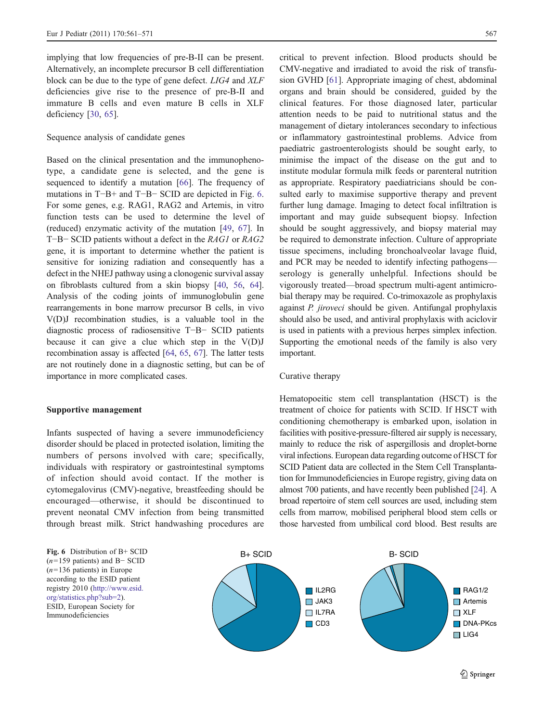implying that low frequencies of pre-B-II can be present. Alternatively, an incomplete precursor B cell differentiation block can be due to the type of gene defect. LIG4 and XLF deficiencies give rise to the presence of pre-B-II and immature B cells and even mature B cells in XLF deficiency [[30,](#page-8-0) [65](#page-10-0)].

## Sequence analysis of candidate genes

Based on the clinical presentation and the immunophenotype, a candidate gene is selected, and the gene is sequenced to identify a mutation [\[66](#page-10-0)]. The frequency of mutations in T−B+ and T−B− SCID are depicted in Fig. 6. For some genes, e.g. RAG1, RAG2 and Artemis, in vitro function tests can be used to determine the level of (reduced) enzymatic activity of the mutation [[49,](#page-9-0) [67\]](#page-10-0). In T−B− SCID patients without a defect in the RAG1 or RAG2 gene, it is important to determine whether the patient is sensitive for ionizing radiation and consequently has a defect in the NHEJ pathway using a clonogenic survival assay on fibroblasts cultured from a skin biopsy [[40,](#page-9-0) [56](#page-9-0), [64\]](#page-9-0). Analysis of the coding joints of immunoglobulin gene rearrangements in bone marrow precursor B cells, in vivo V(D)J recombination studies, is a valuable tool in the diagnostic process of radiosensitive T−B− SCID patients because it can give a clue which step in the  $V(D)J$ recombination assay is affected [\[64](#page-9-0), [65,](#page-10-0) [67](#page-10-0)]. The latter tests are not routinely done in a diagnostic setting, but can be of importance in more complicated cases.

#### Supportive management

Infants suspected of having a severe immunodeficiency disorder should be placed in protected isolation, limiting the numbers of persons involved with care; specifically, individuals with respiratory or gastrointestinal symptoms of infection should avoid contact. If the mother is cytomegalovirus (CMV)-negative, breastfeeding should be encouraged—otherwise, it should be discontinued to prevent neonatal CMV infection from being transmitted through breast milk. Strict handwashing procedures are

Fig. 6 Distribution of B+ SCID (n=159 patients) and B− SCID  $(n=136 \text{ patients})$  in Europe according to the ESID patient registry 2010 ([http://www.esid.](http://www.esid.org/statistics.php?sub=2) [org/statistics.php?sub=2](http://www.esid.org/statistics.php?sub=2)). ESID, European Society for Immunodeficiencies

critical to prevent infection. Blood products should be CMV-negative and irradiated to avoid the risk of transfusion GVHD [[61\]](#page-9-0). Appropriate imaging of chest, abdominal organs and brain should be considered, guided by the clinical features. For those diagnosed later, particular attention needs to be paid to nutritional status and the management of dietary intolerances secondary to infectious or inflammatory gastrointestinal problems. Advice from paediatric gastroenterologists should be sought early, to minimise the impact of the disease on the gut and to institute modular formula milk feeds or parenteral nutrition as appropriate. Respiratory paediatricians should be consulted early to maximise supportive therapy and prevent further lung damage. Imaging to detect focal infiltration is important and may guide subsequent biopsy. Infection should be sought aggressively, and biopsy material may be required to demonstrate infection. Culture of appropriate tissue specimens, including bronchoalveolar lavage fluid, and PCR may be needed to identify infecting pathogens serology is generally unhelpful. Infections should be vigorously treated—broad spectrum multi-agent antimicrobial therapy may be required. Co-trimoxazole as prophylaxis against P. jiroveci should be given. Antifungal prophylaxis should also be used, and antiviral prophylaxis with aciclovir is used in patients with a previous herpes simplex infection. Supporting the emotional needs of the family is also very important.

#### Curative therapy

Hematopoeitic stem cell transplantation (HSCT) is the treatment of choice for patients with SCID. If HSCT with conditioning chemotherapy is embarked upon, isolation in facilities with positive-pressure-filtered air supply is necessary, mainly to reduce the risk of aspergillosis and droplet-borne viral infections. European data regarding outcome of HSCT for SCID Patient data are collected in the Stem Cell Transplantation for Immunodeficiencies in Europe registry, giving data on almost 700 patients, and have recently been published [\[24\]](#page-8-0). A broad repertoire of stem cell sources are used, including stem cells from marrow, mobilised peripheral blood stem cells or those harvested from umbilical cord blood. Best results are

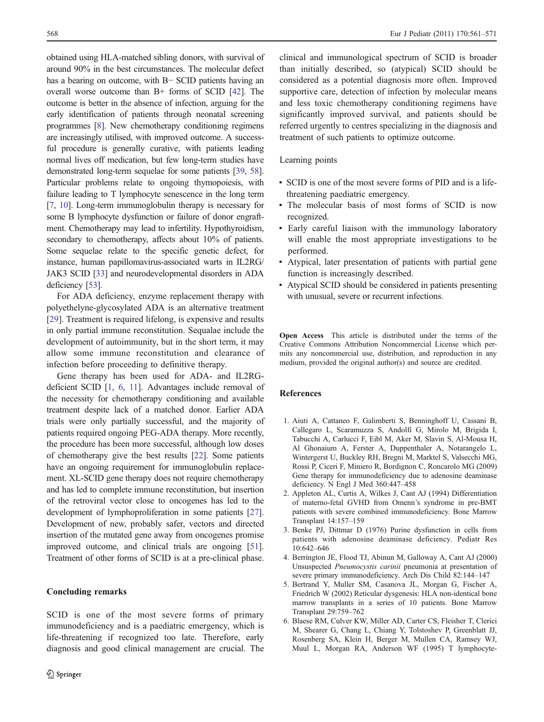<span id="page-7-0"></span>obtained using HLA-matched sibling donors, with survival of around 90% in the best circumstances. The molecular defect has a bearing on outcome, with B− SCID patients having an overall worse outcome than B+ forms of SCID [\[42\]](#page-9-0). The outcome is better in the absence of infection, arguing for the early identification of patients through neonatal screening programmes [\[8](#page-8-0)]. New chemotherapy conditioning regimens are increasingly utilised, with improved outcome. A successful procedure is generally curative, with patients leading normal lives off medication, but few long-term studies have demonstrated long-term sequelae for some patients [\[39,](#page-9-0) [58\]](#page-9-0). Particular problems relate to ongoing thymopoiesis, with failure leading to T lymphocyte senescence in the long term [\[7,](#page-8-0) [10](#page-8-0)]. Long-term immunoglobulin therapy is necessary for some B lymphocyte dysfunction or failure of donor engraftment. Chemotherapy may lead to infertility. Hypothyroidism, secondary to chemotherapy, affects about 10% of patients. Some sequelae relate to the specific genetic defect, for instance, human papillomavirus-associated warts in IL2RG/ JAK3 SCID [\[33\]](#page-8-0) and neurodevelopmental disorders in ADA deficiency [\[53\]](#page-9-0).

For ADA deficiency, enzyme replacement therapy with polyethelyne-glycosylated ADA is an alternative treatment [\[29](#page-8-0)]. Treatment is required lifelong, is expensive and results in only partial immune reconstitution. Sequalae include the development of autoimmunity, but in the short term, it may allow some immune reconstitution and clearance of infection before proceeding to definitive therapy.

Gene therapy has been used for ADA- and IL2RGdeficient SCID [1, 6, [11](#page-8-0)]. Advantages include removal of the necessity for chemotherapy conditioning and available treatment despite lack of a matched donor. Earlier ADA trials were only partially successful, and the majority of patients required ongoing PEG-ADA therapy. More recently, the procedure has been more successful, although low doses of chemotherapy give the best results [[22\]](#page-8-0). Some patients have an ongoing requirement for immunoglobulin replacement. XL-SCID gene therapy does not require chemotherapy and has led to complete immune reconstitution, but insertion of the retroviral vector close to oncogenes has led to the development of lymphoproliferation in some patients [[27\]](#page-8-0). Development of new, probably safer, vectors and directed insertion of the mutated gene away from oncogenes promise improved outcome, and clinical trials are ongoing [[51\]](#page-9-0). Treatment of other forms of SCID is at a pre-clinical phase.

## Concluding remarks

SCID is one of the most severe forms of primary immunodeficiency and is a paediatric emergency, which is life-threatening if recognized too late. Therefore, early diagnosis and good clinical management are crucial. The clinical and immunological spectrum of SCID is broader than initially described, so (atypical) SCID should be considered as a potential diagnosis more often. Improved supportive care, detection of infection by molecular means and less toxic chemotherapy conditioning regimens have significantly improved survival, and patients should be referred urgently to centres specializing in the diagnosis and treatment of such patients to optimize outcome.

### Learning points

- SCID is one of the most severe forms of PID and is a lifethreatening paediatric emergency.
- The molecular basis of most forms of SCID is now recognized.
- Early careful liaison with the immunology laboratory will enable the most appropriate investigations to be performed.
- Atypical, later presentation of patients with partial gene function is increasingly described.
- Atypical SCID should be considered in patients presenting with unusual, severe or recurrent infections.

Open Access This article is distributed under the terms of the Creative Commons Attribution Noncommercial License which permits any noncommercial use, distribution, and reproduction in any medium, provided the original author(s) and source are credited.

#### References

- 1. Aiuti A, Cattaneo F, Galimberti S, Benninghoff U, Cassani B, Callegaro L, Scaramuzza S, Andolfi G, Mirolo M, Brigida I, Tabucchi A, Carlucci F, Eibl M, Aker M, Slavin S, Al-Mousa H, Al Ghonaium A, Ferster A, Duppenthaler A, Notarangelo L, Wintergerst U, Buckley RH, Bregni M, Marktel S, Valsecchi MG, Rossi P, Ciceri F, Miniero R, Bordignon C, Roncarolo MG (2009) Gene therapy for immunodeficiency due to adenosine deaminase deficiency. N Engl J Med 360:447–458
- 2. Appleton AL, Curtis A, Wilkes J, Cant AJ (1994) Differentiation of materno-fetal GVHD from Omenn's syndrome in pre-BMT patients with severe combined immunodeficiency. Bone Marrow Transplant 14:157–159
- 3. Benke PJ, Dittmar D (1976) Purine dysfunction in cells from patients with adenosine deaminase deficiency. Pediatr Res 10:642–646
- 4. Berrington JE, Flood TJ, Abinun M, Galloway A, Cant AJ (2000) Unsuspected Pneumocystis carinii pneumonia at presentation of severe primary immunodeficiency. Arch Dis Child 82:144–147
- 5. Bertrand Y, Muller SM, Casanova JL, Morgan G, Fischer A, Friedrich W (2002) Reticular dysgenesis: HLA non-identical bone marrow transplants in a series of 10 patients. Bone Marrow Transplant 29:759–762
- 6. Blaese RM, Culver KW, Miller AD, Carter CS, Fleisher T, Clerici M, Shearer G, Chang L, Chiang Y, Tolstoshev P, Greenblatt JJ, Rosenberg SA, Klein H, Berger M, Mullen CA, Ramsey WJ, Muul L, Morgan RA, Anderson WF (1995) T lymphocyte-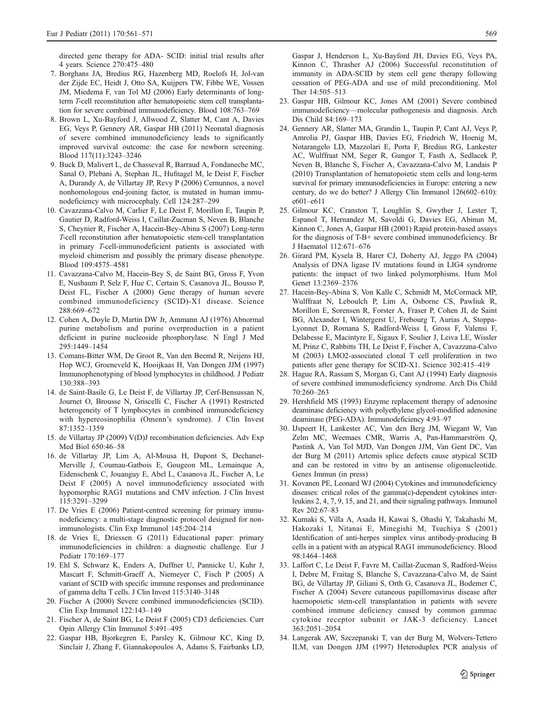<span id="page-8-0"></span>directed gene therapy for ADA- SCID: initial trial results after 4 years. Science 270:475–480

- 7. Borghans JA, Bredius RG, Hazenberg MD, Roelofs H, Jol-van der Zijde EC, Heidt J, Otto SA, Kuijpers TW, Fibbe WE, Vossen JM, Miedema F, van Tol MJ (2006) Early determinants of longterm T-cell reconstitution after hematopoietic stem cell transplantation for severe combined immunodeficiency. Blood 108:763–769
- 8. Brown L, Xu-Bayford J, Allwood Z, Slatter M, Cant A, Davies EG, Veys P, Gennery AR, Gaspar HB (2011) Neonatal diagnosis of severe combined immunodeficiency leads to significantly improved survival outcome: the case for newborn screening. Blood 117(11):3243–3246
- 9. Buck D, Malivert L, de Chasseval R, Barraud A, Fondaneche MC, Sanal O, Plebani A, Stephan JL, Hufnagel M, le Deist F, Fischer A, Durandy A, de Villartay JP, Revy P (2006) Cernunnos, a novel nonhomologous end-joining factor, is mutated in human immunodeficiency with microcephaly. Cell 124:287–299
- 10. Cavazzana-Calvo M, Carlier F, Le Deist F, Morillon E, Taupin P, Gautier D, Radford-Weiss I, Caillat-Zucman S, Neven B, Blanche S, Cheynier R, Fischer A, Hacein-Bey-Abina S (2007) Long-term T-cell reconstitution after hematopoietic stem-cell transplantation in primary T-cell-immunodeficient patients is associated with myeloid chimerism and possibly the primary disease phenotype. Blood 109:4575–4581
- 11. Cavazzana-Calvo M, Hacein-Bey S, de Saint BG, Gross F, Yvon E, Nusbaum P, Selz F, Hue C, Certain S, Casanova JL, Bousso P, Deist FL, Fischer A (2000) Gene therapy of human severe combined immunodeficiency (SCID)-X1 disease. Science 288:669–672
- 12. Cohen A, Doyle D, Martin DW Jr, Ammann AJ (1976) Abnormal purine metabolism and purine overproduction in a patient deficient in purine nucleoside phosphorylase. N Engl J Med 295:1449–1454
- 13. Comans-Bitter WM, De Groot R, Van den Beemd R, Neijens HJ, Hop WCJ, Groeneveld K, Hooijkaas H, Van Dongen JJM (1997) Immunophenotyping of blood lymphocytes in childhood. J Pediatr 130:388–393
- 14. de Saint-Basile G, Le Deist F, de Villartay JP, Cerf-Bensussan N, Journet O, Brousse N, Griscelli C, Fischer A (1991) Restricted heterogeneity of T lymphocytes in combined immunodeficiency with hypereosinophilia (Omenn's syndrome). J Clin Invest 87:1352–1359
- 15. de Villartay JP (2009) V(D)J recombination deficiencies. Adv Exp Med Biol 650:46–58
- 16. de Villartay JP, Lim A, Al-Mousa H, Dupont S, Dechanet-Merville J, Coumau-Gatbois E, Gougeon ML, Lemainque A, Eidenschenk C, Jouanguy E, Abel L, Casanova JL, Fischer A, Le Deist F (2005) A novel immunodeficiency associated with hypomorphic RAG1 mutations and CMV infection. J Clin Invest 115:3291–3299
- 17. De Vries E (2006) Patient-centred screening for primary immunodeficiency: a multi-stage diagnostic protocol designed for nonimmunologists. Clin Exp Immunol 145:204–214
- 18. de Vries E, Driessen G (2011) Educational paper: primary immunodeficiencies in children: a diagnostic challenge. Eur J Pediatr 170:169–177
- 19. Ehl S, Schwarz K, Enders A, Duffner U, Pannicke U, Kuhr J, Mascart F, Schmitt-Graeff A, Niemeyer C, Fisch P (2005) A variant of SCID with specific immune responses and predominance of gamma delta T cells. J Clin Invest 115:3140–3148
- 20. Fischer A (2000) Severe combined immunodeficiencies (SCID). Clin Exp Immunol 122:143–149
- 21. Fischer A, de Saint BG, Le Deist F (2005) CD3 deficiencies. Curr Opin Allergy Clin Immunol 5:491–495
- 22. Gaspar HB, Bjorkegren E, Parsley K, Gilmour KC, King D, Sinclair J, Zhang F, Giannakopoulos A, Adams S, Fairbanks LD,

Gaspar J, Henderson L, Xu-Bayford JH, Davies EG, Veys PA, Kinnon C, Thrasher AJ (2006) Successful reconstitution of immunity in ADA-SCID by stem cell gene therapy following cessation of PEG-ADA and use of mild preconditioning. Mol Ther 14:505–513

- 23. Gaspar HB, Gilmour KC, Jones AM (2001) Severe combined immunodeficiency—molecular pathogenesis and diagnosis. Arch Dis Child 84:169–173
- 24. Gennery AR, Slatter MA, Grandin L, Taupin P, Cant AJ, Veys P, Amrolia PJ, Gaspar HB, Davies EG, Friedrich W, Hoenig M, Notarangelo LD, Mazzolari E, Porta F, Bredius RG, Lankester AC, Wulffraat NM, Seger R, Gungor T, Fasth A, Sedlacek P, Neven B, Blanche S, Fischer A, Cavazzana-Calvo M, Landais P (2010) Transplantation of hematopoietic stem cells and long-term survival for primary immunodeficiencies in Europe: entering a new century, do we do better? J Allergy Clin Immunol 126(602–610): e601–e611
- 25. Gilmour KC, Cranston T, Loughlin S, Gwyther J, Lester T, Espanol T, Hernandez M, Savoldi G, Davies EG, Abinun M, Kinnon C, Jones A, Gaspar HB (2001) Rapid protein-based assays for the diagnosis of T-B+ severe combined immunodeficiency. Br J Haematol 112:671–676
- 26. Girard PM, Kysela B, Harer CJ, Doherty AJ, Jeggo PA (2004) Analysis of DNA ligase IV mutations found in LIG4 syndrome patients: the impact of two linked polymorphisms. Hum Mol Genet 13:2369–2376
- 27. Hacein-Bey-Abina S, Von Kalle C, Schmidt M, McCormack MP, Wulffraat N, Leboulch P, Lim A, Osborne CS, Pawliuk R, Morillon E, Sorensen R, Forster A, Fraser P, Cohen JI, de Saint BG, Alexander I, Wintergerst U, Frebourg T, Aurias A, Stoppa-Lyonnet D, Romana S, Radford-Weiss I, Gross F, Valensi F, Delabesse E, Macintyre E, Sigaux F, Soulier J, Leiva LE, Wissler M, Prinz C, Rabbitts TH, Le Deist F, Fischer A, Cavazzana-Calvo M (2003) LMO2-associated clonal T cell proliferation in two patients after gene therapy for SCID-X1. Science 302:415–419
- 28. Hague RA, Rassam S, Morgan G, Cant AJ (1994) Early diagnosis of severe combined immunodeficiency syndrome. Arch Dis Child 70:260–263
- 29. Hershfield MS (1993) Enzyme replacement therapy of adenosine deaminase deficiency with polyethylene glycol-modified adenosine deaminase (PEG-ADA). Immunodeficiency 4:93–97
- 30. IJspeert H, Lankester AC, Van den Berg JM, Wiegant W, Van Zelm MC, Weemaes CMR, Warris A, Pan-Hammarström Q, Pastink A, Van Tol MJD, Van Dongen JJM, Van Gent DC, Van der Burg M (2011) Artemis splice defects cause atypical SCID and can be restored in vitro by an antisense oligonucleotide. Genes Immun (in press)
- 31. Kovanen PE, Leonard WJ (2004) Cytokines and immunodeficiency diseases: critical roles of the gamma(c)-dependent cytokines interleukins 2, 4, 7, 9, 15, and 21, and their signaling pathways. Immunol Rev 202:67–83
- 32. Kumaki S, Villa A, Asada H, Kawai S, Ohashi Y, Takahashi M, Hakozaki I, Nitanai E, Minegishi M, Tsuchiya S (2001) Identification of anti-herpes simplex virus antibody-producing B cells in a patient with an atypical RAG1 immunodeficiency. Blood 98:1464–1468
- 33. Laffort C, Le Deist F, Favre M, Caillat-Zucman S, Radford-Weiss I, Debre M, Fraitag S, Blanche S, Cavazzana-Calvo M, de Saint BG, de Villartay JP, Giliani S, Orth G, Casanova JL, Bodemer C, Fischer A (2004) Severe cutaneous papillomavirus disease after haemopoietic stem-cell transplantation in patients with severe combined immune deficiency caused by common gammac cytokine receptor subunit or JAK-3 deficiency. Lancet 363:2051–2054
- 34. Langerak AW, Szczepanski T, van der Burg M, Wolvers-Tettero ILM, van Dongen JJM (1997) Heteroduplex PCR analysis of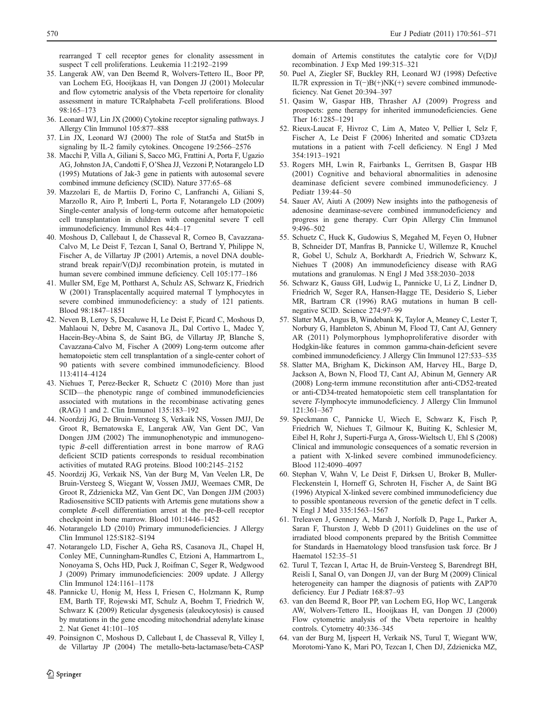<span id="page-9-0"></span>rearranged T cell receptor genes for clonality assessment in suspect T cell proliferations. Leukemia 11:2192–2199

- 35. Langerak AW, van Den Beemd R, Wolvers-Tettero IL, Boor PP, van Lochem EG, Hooijkaas H, van Dongen JJ (2001) Molecular and flow cytometric analysis of the Vbeta repertoire for clonality assessment in mature TCRalphabeta T-cell proliferations. Blood 98:165–173
- 36. Leonard WJ, Lin JX (2000) Cytokine receptor signaling pathways. J Allergy Clin Immunol 105:877–888
- 37. Lin JX, Leonard WJ (2000) The role of Stat5a and Stat5b in signaling by IL-2 family cytokines. Oncogene 19:2566–2576
- 38. Macchi P, Villa A, Giliani S, Sacco MG, Frattini A, Porta F, Ugazio AG, Johnston JA, Candotti F, O'Shea JJ, Vezzoni P, Notarangelo LD (1995) Mutations of Jak-3 gene in patients with autosomal severe combined immune deficiency (SCID). Nature 377:65–68
- 39. Mazzolari E, de Martiis D, Forino C, Lanfranchi A, Giliani S, Marzollo R, Airo P, Imberti L, Porta F, Notarangelo LD (2009) Single-center analysis of long-term outcome after hematopoietic cell transplantation in children with congenital severe T cell immunodeficiency. Immunol Res 44:4–17
- 40. Moshous D, Callebaut I, de Chasseval R, Corneo B, Cavazzana-Calvo M, Le Deist F, Tezcan I, Sanal O, Bertrand Y, Philippe N, Fischer A, de Villartay JP (2001) Artemis, a novel DNA doublestrand break repair/V(D)J recombination protein, is mutated in human severe combined immune deficiency. Cell 105:177–186
- 41. Muller SM, Ege M, Pottharst A, Schulz AS, Schwarz K, Friedrich W (2001) Transplacentally acquired maternal T lymphocytes in severe combined immunodeficiency: a study of 121 patients. Blood 98:1847–1851
- 42. Neven B, Leroy S, Decaluwe H, Le Deist F, Picard C, Moshous D, Mahlaoui N, Debre M, Casanova JL, Dal Cortivo L, Madec Y, Hacein-Bey-Abina S, de Saint BG, de Villartay JP, Blanche S, Cavazzana-Calvo M, Fischer A (2009) Long-term outcome after hematopoietic stem cell transplantation of a single-center cohort of 90 patients with severe combined immunodeficiency. Blood 113:4114–4124
- 43. Niehues T, Perez-Becker R, Schuetz C (2010) More than just SCID—the phenotypic range of combined immunodeficiencies associated with mutations in the recombinase activating genes (RAG) 1 and 2. Clin Immunol 135:183–192
- 44. Noordzij JG, De Bruin-Versteeg S, Verkaik NS, Vossen JMJJ, De Groot R, Bernatowska E, Langerak AW, Van Gent DC, Van Dongen JJM (2002) The immunophenotypic and immunogenotypic B-cell differentiation arrest in bone marrow of RAG deficient SCID patients corresponds to residual recombination activities of mutated RAG proteins. Blood 100:2145–2152
- 45. Noordzij JG, Verkaik NS, Van der Burg M, Van Veelen LR, De Bruin-Versteeg S, Wiegant W, Vossen JMJJ, Weemaes CMR, De Groot R, Zdzienicka MZ, Van Gent DC, Van Dongen JJM (2003) Radiosensitive SCID patients with Artemis gene mutations show a complete B-cell differentiation arrest at the pre-B-cell receptor checkpoint in bone marrow. Blood 101:1446–1452
- 46. Notarangelo LD (2010) Primary immunodeficiencies. J Allergy Clin Immunol 125:S182–S194
- 47. Notarangelo LD, Fischer A, Geha RS, Casanova JL, Chapel H, Conley ME, Cunningham-Rundles C, Etzioni A, Hammartrom L, Nonoyama S, Ochs HD, Puck J, Roifman C, Seger R, Wedgwood J (2009) Primary immunodeficiencies: 2009 update. J Allergy Clin Immunol 124:1161–1178
- 48. Pannicke U, Honig M, Hess I, Friesen C, Holzmann K, Rump EM, Barth TF, Rojewski MT, Schulz A, Boehm T, Friedrich W, Schwarz K (2009) Reticular dysgenesis (aleukocytosis) is caused by mutations in the gene encoding mitochondrial adenylate kinase 2. Nat Genet 41:101–105
- 49. Poinsignon C, Moshous D, Callebaut I, de Chasseval R, Villey I, de Villartay JP (2004) The metallo-beta-lactamase/beta-CASP

domain of Artemis constitutes the catalytic core for V(D)J recombination. J Exp Med 199:315–321

- 50. Puel A, Ziegler SF, Buckley RH, Leonard WJ (1998) Defective IL7R expression in T(−)B(+)NK(+) severe combined immunodeficiency. Nat Genet 20:394–397
- 51. Qasim W, Gaspar HB, Thrasher AJ (2009) Progress and prospects: gene therapy for inherited immunodeficiencies. Gene Ther 16:1285–1291
- 52. Rieux-Laucat F, Hivroz C, Lim A, Mateo V, Pellier I, Selz F, Fischer A, Le Deist F (2006) Inherited and somatic CD3zeta mutations in a patient with T-cell deficiency. N Engl J Med 354:1913–1921
- 53. Rogers MH, Lwin R, Fairbanks L, Gerritsen B, Gaspar HB (2001) Cognitive and behavioral abnormalities in adenosine deaminase deficient severe combined immunodeficiency. J Pediatr 139:44–50
- 54. Sauer AV, Aiuti A (2009) New insights into the pathogenesis of adenosine deaminase-severe combined immunodeficiency and progress in gene therapy. Curr Opin Allergy Clin Immunol 9:496–502
- 55. Schuetz C, Huck K, Gudowius S, Megahed M, Feyen O, Hubner B, Schneider DT, Manfras B, Pannicke U, Willemze R, Knuchel R, Gobel U, Schulz A, Borkhardt A, Friedrich W, Schwarz K, Niehues T (2008) An immunodeficiency disease with RAG mutations and granulomas. N Engl J Med 358:2030–2038
- 56. Schwarz K, Gauss GH, Ludwig L, Pannicke U, Li Z, Lindner D, Friedrich W, Seger RA, Hansen-Hagge TE, Desiderio S, Lieber MR, Bartram CR (1996) RAG mutations in human B cellnegative SCID. Science 274:97–99
- 57. Slatter MA, Angus B, Windebank K, Taylor A, Meaney C, Lester T, Norbury G, Hambleton S, Abinun M, Flood TJ, Cant AJ, Gennery AR (2011) Polymorphous lymphoproliferative disorder with Hodgkin-like features in common gamma-chain-deficient severe combined immunodeficiency. J Allergy Clin Immunol 127:533–535
- 58. Slatter MA, Brigham K, Dickinson AM, Harvey HL, Barge D, Jackson A, Bown N, Flood TJ, Cant AJ, Abinun M, Gennery AR (2008) Long-term immune reconstitution after anti-CD52-treated or anti-CD34-treated hematopoietic stem cell transplantation for severe T-lymphocyte immunodeficiency. J Allergy Clin Immunol 121:361–367
- 59. Speckmann C, Pannicke U, Wiech E, Schwarz K, Fisch P, Friedrich W, Niehues T, Gilmour K, Buiting K, Schlesier M, Eibel H, Rohr J, Superti-Furga A, Gross-Wieltsch U, Ehl S (2008) Clinical and immunologic consequences of a somatic reversion in a patient with X-linked severe combined immunodeficiency. Blood 112:4090–4097
- 60. Stephan V, Wahn V, Le Deist F, Dirksen U, Broker B, Muller-Fleckenstein I, Horneff G, Schroten H, Fischer A, de Saint BG (1996) Atypical X-linked severe combined immunodeficiency due to possible spontaneous reversion of the genetic defect in T cells. N Engl J Med 335:1563–1567
- 61. Treleaven J, Gennery A, Marsh J, Norfolk D, Page L, Parker A, Saran F, Thurston J, Webb D (2011) Guidelines on the use of irradiated blood components prepared by the British Committee for Standards in Haematology blood transfusion task force. Br J Haematol 152:35–51
- 62. Turul T, Tezcan I, Artac H, de Bruin-Versteeg S, Barendregt BH, Reisli I, Sanal O, van Dongen JJ, van der Burg M (2009) Clinical heterogeneity can hamper the diagnosis of patients with ZAP70 deficiency. Eur J Pediatr 168:87–93
- 63. van den Beemd R, Boor PP, van Lochem EG, Hop WC, Langerak AW, Wolvers-Tettero IL, Hooijkaas H, van Dongen JJ (2000) Flow cytometric analysis of the Vbeta repertoire in healthy controls. Cytometry 40:336–345
- 64. van der Burg M, Ijspeert H, Verkaik NS, Turul T, Wiegant WW, Morotomi-Yano K, Mari PO, Tezcan I, Chen DJ, Zdzienicka MZ,